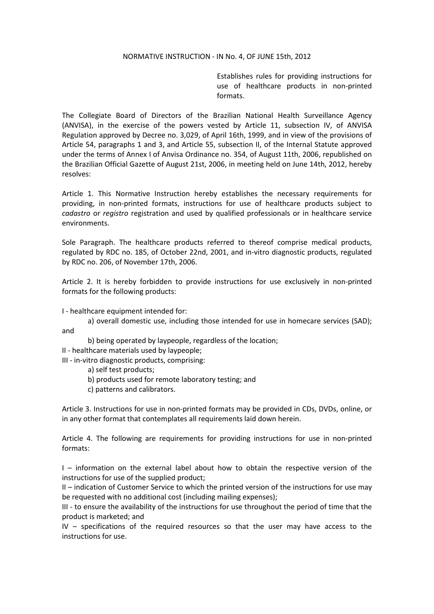## NORMATIVE INSTRUCTION - IN No. 4, OF JUNE 15th, 2012

Establishes rules for providing instructions for use of healthcare products in non-printed formats.

The Collegiate Board of Directors of the Brazilian National Health Surveillance Agency (ANVISA), in the exercise of the powers vested by Article 11, subsection IV, of ANVISA Regulation approved by Decree no. 3,029, of April 16th, 1999, and in view of the provisions of Article 54, paragraphs 1 and 3, and Article 55, subsection II, of the Internal Statute approved under the terms of Annex I of Anvisa Ordinance no. 354, of August 11th, 2006, republished on the Brazilian Official Gazette of August 21st, 2006, in meeting held on June 14th, 2012, hereby resolves:

Article 1. This Normative Instruction hereby establishes the necessary requirements for providing, in non-printed formats, instructions for use of healthcare products subject to *cadastro* or *registro* registration and used by qualified professionals or in healthcare service environments.

Sole Paragraph. The healthcare products referred to thereof comprise medical products, regulated by RDC no. 185, of October 22nd, 2001, and in-vitro diagnostic products, regulated by RDC no. 206, of November 17th, 2006.

Article 2. It is hereby forbidden to provide instructions for use exclusively in non-printed formats for the following products:

I - healthcare equipment intended for:

a) overall domestic use, including those intended for use in homecare services (SAD); and

b) being operated by laypeople, regardless of the location;

II - healthcare materials used by laypeople;

III - in-vitro diagnostic products, comprising:

a) self test products;

b) products used for remote laboratory testing; and

c) patterns and calibrators.

Article 3. Instructions for use in non-printed formats may be provided in CDs, DVDs, online, or in any other format that contemplates all requirements laid down herein.

Article 4. The following are requirements for providing instructions for use in non-printed formats:

I – information on the external label about how to obtain the respective version of the instructions for use of the supplied product;

II – indication of Customer Service to which the printed version of the instructions for use may be requested with no additional cost (including mailing expenses);

III - to ensure the availability of the instructions for use throughout the period of time that the product is marketed; and

IV – specifications of the required resources so that the user may have access to the instructions for use.